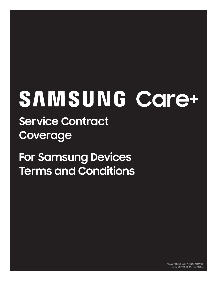# SAMSUNG Care+

**Service Contract Coverage**

**For Samsung Devices Terms and Conditions**

> ©2022 Asurion, LLC. All rights reserved. SMSG-958055-22\_SC COV53532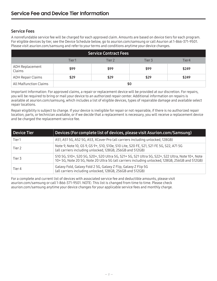# Service Fees

A nonrefundable service fee will be charged for each approved claim. Amounts are based on device tiers for each program. For eligible devices by tier, see the Device Schedule below, go to asurion.com/samsung or call Asurion at 1-866-371-9501. Please visit asurion.com/samsung and refer to your terms and conditions anytime your device changes.

| <b>Service Contract Fees</b> |       |        |        |       |
|------------------------------|-------|--------|--------|-------|
|                              | Tier1 | Tier 2 | Tier 3 | Tier4 |
| ADH Replacement<br>Claims    | \$99  | \$99   | \$99   | \$249 |
| <b>ADH Repair Claims</b>     | \$29  | \$29   | \$29   | \$249 |
| All Malfunction Claims       | \$0   |        |        |       |

Important Information: For approved claims, a repair or replacement device will be provided at our discretion. For repairs, you will be required to bring or mail your device to an authorized repair center. Additional information on repairs is available at asurion.com/samsung, which includes a list of eligible devices, types of repairable damage and available select repair locations.

Repair eligibility is subject to change. If your device is ineligible for repair or not repairable, if there is no authorized repair location, parts, or technician available, or if we decide that a replacement is necessary, you will receive a replacement device and be charged the replacement service fee.

| Device Tier | Devices (For complete list of devices, please visit Asurion.com/Samsung)                                                                                                                         |
|-------------|--------------------------------------------------------------------------------------------------------------------------------------------------------------------------------------------------|
| Tier1       | A51, A51 5G, A52 5G, A53, XCover Pro (all carriers including unlocked, 128GB)                                                                                                                    |
| Tier 2      | Note 9, Note 10, GS 9, GS 9+, S10, S10e, S10 Lite, S20 FE, S21, S21 FE 5G, S22, A71 5G<br>(all carriers including unlocked, 128GB, 256GB and 512GB)                                              |
| Tier 3      | S10 5G, S10+, S20 5G, S20+, S20 Ultra 5G, S21+ 5G, S21 Ultra 5G, S22+, S22 Ultra, Note 10+, Note<br>10+5G, Note 205G, Note 20 Ultra 5G (all carriers including unlocked, 128GB, 256GB and 512GB) |
| Tier 4      | Galaxy Fold, Galaxy Fold 2 5G, Galaxy Z Flip, Galaxy Z Flip 5G<br>(all carriers including unlocked, 128GB, 256GB and 512GB)                                                                      |

For a complete and current list of devices with associated service fee and deductible amounts, please visit asurion.com/samsung or call 1-866-371-9501. NOTE: This list is changed from time to time. Please check asurion.com/samsung anytime your device changes for your applicable service fees and monthly charge.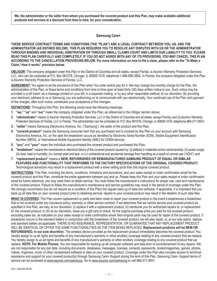**We, the administrator or the seller from whom you purchased the covered product and this Plan, may make available additional products and services at a discount from time to time, for your consideration.**

# **Samsung Care+**

**THESE SERVICE CONTRACT TERMS AND CONDITIONS (THE "PLAN") ARE A LEGAL CONTRACT BETWEEN YOU, US, AND THE ADMINISTRATOR (AS DEFINED BELOW). THIS PLAN REQUIRES YOU TO RESOLVE ANY DISPUTES WITH US OR THE ADMINISTRATOR THROUGH BINDING AND INDIVIDUAL ARBITRATION OR THROUGH SMALL CLAIMS COURT AND LIMITS OUR LIABILITY TO YOU. PLEASE READ THIS PLAN CAREFULLY AND COMPLETELY. IF YOU DO NOT AGREE WITH ANY OF ITS PROVISIONS, YOU MAY CANCEL THIS PLAN ACCORDING TO THE CANCELLATION PROVISIONS BELOW. For more information on how to file a claim, please refer to the "To Make a Claim / How it works" provision below.**

**OBLIGOR:** The company obligated under this Plan in the District of Columbia and all states, except Florida, is Asurion Warranty Protection Services, LLC, who can be contacted at P.O. Box 061078, Chicago, IL 60606-1078, telephone 1-866-856-3882. In Florida, the company obligated under this Plan is Asurion Warranty Protection Services of Florida, LLC.

**AGREEMENT:** You agree to all the provisions of this Plan when You order and/or pay for it. We may change the monthly charge for the Plan, the administration of the Plan, or these terms and conditions from time to time upon at least thirty (30) days written notice to you. Such notice may be provided in a bill insert, as a message printed on your bill, in a separate mailing, or by any other reasonable method, at our discretion. By providing your electronic address to us or Samsung, you are authorizing us to communicate with you electronically. Your continued use of the Plan and payment of the charges, after such notice, constitutes your acceptance of the changes.

**DEFINITIONS:** Throughout this Plan, the following words have the following meanings:

- **1. "we," "us"** and **"our"** mean the company obligated under this Plan, as referenced in the Obligor section above;
- **2. "administrator"** means (i) Asurion Warranty Protection Services, LLC in the District of Columbia and all states, except Florida; and (ii) Asurion Warranty Protection Services of Florida, LLC in Florida. The administrator can be contacted at: P.O. Box 061078, Chicago, IL 60606-1078, telephone 866-371-9501;
- **3. "seller"** means Samsung Electronics America, Inc. ("Samsung"), the seller of the product and this Plan;
- **4. "covered product"** means the Samsung consumer item that you purchased and is covered by this Plan on your account with Samsung Electronics America, Inc. on the date the breakdown occurs as identified by Electronic Serial Number (ESN), Mobile Equipment Identification Number (MEID), or International Mobile Equipment Identity (IMEI) for CDMA devices;
- **5. "you"** and **"your"** mean the individual who purchased the covered product and purchased this Plan;
- **6. "breakdown"** means the mechanical or electrical failure of the covered product caused by: (i) defects in materials and/or workmanship; (ii) power surge; (iii) dust, heat or humidity; (iv) normal wear and tear; or (v) unintentional and accidental damage from handling as a result of normal use ("ADH"); and
- **7. "replacement product"** means a **NEW, REFURBISHED OR REMANUFACTURED SAMSUNG PRODUCT OF EQUAL OR SIMILAR FEATURES AND FUNCTIONALITY THAT PERFORMS TO THE FACTORY SPECIFICATIONS OF THE ORIGINAL COVERED PRODUCT.**  Technological advances may result in a replacement product with a lower selling price than the original covered product.

**INSTRUCTIONS:** This Plan, including the terms, conditions, limitations and exclusions, and your sales receipt or order confirmation email for the covered product and this Plan, constitute the entire agreement between you and us. Please keep this Plan and your sales receipt or order confirmation email for future reference; you may need them to obtain service. You must follow the manufacturer's instructions for proper use, care and maintenance of the covered product. Failure to follow the manufacturer's maintenance and service guidelines may result in the denial of coverage under this Plan. We strongly recommend (but do not require as a condition of this Plan) the regular back up of data and software. If applicable, it is important that you back up all data files on your covered product prior to obtaining service; repairs to your covered product may result in the deletion of such data files.

**WHAT IS COVERED:** This Plan covers replacement or parts and labor costs to repair your covered product in the event it experiences a breakdown that is not covered under any insurance policy, warranty or other service contract. If we determine that we cannot service your covered product as specified in this Plan, we may, at our discretion: (i) replace it with a replacement product; (ii) reimburse you for authorized repairs to, or replacement of, the covered product; or (iii) at our discretion, issue you a gift card or check, for the original purchase price you paid for the covered product, excluding sales tax, as indicated on your sales receipt or order confirmation email. Non-original parts may be used for repair of the covered product. If breakdown occurs in the standard battery in conjunction with the breakdown of the covered product, we will also repair, or, at our sole option, replace one standard battery as applicable. THERE IS NO ASSURANCE, REPRESENTATION, OR GUARANTEE THAT ANY REPLACEMENT PRODUCT WILL BE IDENTICAL OR OFFER THE SAME FUNCTIONALITIES AS THE ITEM BEING REPLACED. **Replacement products will be NEW OR REFURBISHED, in our sole discretion.** The wireless device provided as the replacement product immediately becomes the covered product. You hereby assign to us all rights and benefits of any manufacturer's warranty or other ancillary coverage relating to any covered product that we replace. You hereby assign to us all rights and benefits of any manufacturer's warranty or other ancillary coverage relating to any covered product that we replace. **NOTE: For Mobile Phones:** You are responsible for backing up all computer software and data prior to commencement of any repairs. We are not responsible for any lost data, including documents, databases, messages, licenses, contacts, passwords, books/magazines, games, photos, videos, ringtones, music or other nonstandard software or data on your covered product. Coverage under this Plan also includes access to technical assistance and support for your covered product(s) through Samsung Care+ Support during the term of this Plan. Samsung Care+ Support terms of service can be accessed at www.asurion.com/samsung. Go to www.asurion.com/samsung or call 866-371-9501.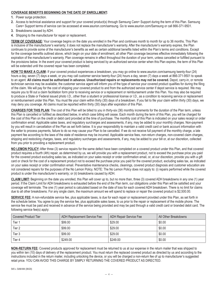# **COVERAGE BENEFITS BEGINNING ON THE DATE OF ENROLLMENT:**

**1.** Power surge protection.

- **2.** Access to technical assistance and support for your covered product(s) through Samsung Care+ Support during the term of this Plan. Samsung Care+ Support terms of service can be accessed at www.asurion.com/samsung. Go to www.asurion.com/Samsung or call 866-371-9501.
- **3.** Breakdowns caused by ADH.
- **4.** Shipping to the manufacturer for repair or replacement.

**TERM OF COVERAGE:** Your coverage begins on the date you enrolled in the Plan and continues month to month for up to 36 months. This Plan is inclusive of the manufacturer's warranty; it does not replace the manufacturer's warranty. After the manufacturer's warranty expires, the Plan continues to provide some of the manufacturer's benefits as well as certain additional benefits listed within the Plan's terms and conditions. Except for the coverage benefits outlined above, which begin on your date of enrollment, all other Plan coverage becomes effective immediately following the expiration of the manufacturer's warranty. Plan coverage remains in effect throughout the duration of your term, unless cancelled or fulfilled pursuant to the provisions below. In the event your covered product is being serviced by an authorized service center when this Plan expires, the term of this Plan will be extended until the covered repair has been completed.

**HOW TO MAKE A CLAIM:** If your covered product experiences a breakdown, you may go online to www.asurion.com/samsung twenty-four (24) hours a day, seven (7) days a week, or you may call customer service twenty-four (24) hours a day, seven (7) days a week at 866-371-9501 to speak to an agent. **All claims must be authorized in advance. Unauthorized repairs or replacements may not be covered.** Depot, carry-in, or remote technician service may be available; the customer service agent will inform you of the type of service your covered product qualifies for during the filing of the claim. We will pay for the cost of shipping your covered product to and from the authorized service center if depot service is required. We may require you to fill out a claim facilitation form prior to receiving service or a replacement or reimbursement under this Plan. You may also be required to produce a State or Federal issued photo I.D., other than a student or professional license or I.D., as a condition to receiving service or replacement or reimbursement under this Plan. You must file your claim within thirty (30) days of a breakdown. If you fail to file your claim within thirty (30) days, we may deny you coverage. All claims must be reported within thirty (30) days after expiration of this Plan.

**CHARGES FOR THIS PLAN:** The cost of this Plan will be billed to you in thirty-six (36) monthly increments for the duration of the Plan term, unless this Plan is cancelled or fulfilled as described below, in which case billing will cease. Each month during the term of this Plan, you will be charged for the cost of this Plan on the credit or debit card provided at the time of purchase. The monthly cost of this Plan is indicated on your sales receipt or order confirmation email. Applicable sales taxes, and regulatory surcharges and assessments, if any, may be added to your monthly charges. Non-payment by you will result in cancellation of the Plan as set forth below. It is your responsibility to maintain a valid credit card or bank account information with the seller to process payments, failure to do so may cause your Plan to be cancelled. If we do not receive full payment of the monthly charge, a late payment fee according to the laws of the state of residence may be incurred. Applicable service fees, non-return charges, non-covered claim charges, shipping and restocking charges, taxes, and regulatory surcharges and assessments, if any, may be added to your bill or, at our discretion, collected from you prior to providing a replacement product.

**NO LEMON POLICY:** After three (3) service repairs for the same defect have been completed on a covered product under this Plan, and that covered product requires a fourth (4th) repair, as determined by us, we will provide you with a replacement product, not to exceed the purchase price you paid for the covered product excluding sales tax, as indicated on your sales receipt or order confirmation email, or, at our discretion, provide you with a gift card or check for the cost of a replacement product not to exceed the purchase price you paid for the covered product, excluding sales tax, as indicated on your sales receipt or order confirmation email. Preventative maintenance checks, cleanings, covered product diagnosis and customer education are not considered repairs for the purposes of the No Lemon Policy. NOTE: The No Lemon Policy does not apply to: (i) repairs performed while the covered product is under the manufacturer's warranty; or (ii) breakdowns caused by ADH.

**CLAIM LIMIT:** Beginning on the date you enrolled, this Plan will cover up to, but no more than, three (3) covered ADH breakdowns in any one (1) year period. If the Claim Limit for ADH breakdowns is exhausted before the end of the Plan term, our obligations under this Plan will be satisfied and your coverage will terminate. The one (1) year period is calculated based on the date of loss for each covered ADH breakdown. There is no limit for claims due to all other breakdowns. For any single claim, the maximum amount we will spend to replace or repair the covered product is \$2,500.00.

**SERVICE FEE:** A non-refundable service fee, plus applicable taxes, is due for each repair or replacement provided under this Plan, as set forth in the schedule below. You agree to pay the service fee, plus applicable sales taxes, to us prior to the repair or replacement of the mobile phone. The service fee must be paid and received in advance of the service being provided and may be paid through a valid credit card or branded debit card. The following service fee(s) apply:

| <b>Covered Product Tier</b> | ADH Replacement Service Fee: | ADH Repair Service Fee | All Other Breakdowns |
|-----------------------------|------------------------------|------------------------|----------------------|
| Tier 1                      | \$99.00                      | \$29.00                | \$0.00               |
| Tier 2                      | \$99.00                      | \$29.00                | \$0.00               |
| Tier 3                      | \$99.00                      | \$29.00                | \$0.00               |
| Tier 4                      | \$249.00                     | \$249.00               | \$0.00               |

**NON-RETURN FEE:** Covered products approved for replacement must be returned to us at our expense in the return mailer that was shipped to you within ten (10) days of delivery of the replacement product. You must return the replaced covered product as directed by us and according to the instructions included in the return mailer, including unlocking the device, or you will be charged a non-return fee of up to manufacturer's suggested retail price. YOU CAN AVOID THIS CHARGE BY SIMPLY RETURNING THE COVERED PRODUCT AS DIRECTED.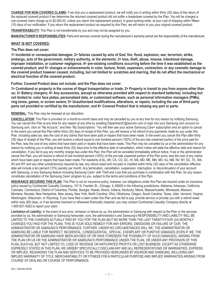**CHARGE FOR NON-COVERED CLAIMS:** If we ship you a replacement product, we will notify you in writing within thirty (30) days of the return of the replaced covered product if we determine the returned covered product did not suffer a breakdown covered by the Plan. You will be charged a non-covered claim charge up to \$2,500.00, unless you return the replacement product, in good working order, at your cost of shipping within fifteen (15) days of our notification. If you return the replacement product as required by this Plan, we will return to you your original covered product.

**TRANSFERABILITY:** This Plan is not transferrable by you and may not be assigned by you.

**MANUFACTURER'S RESPONSIBILITIES:** Parts and services covered during the manufacturer's warranty period are the responsibility of the manufacturer.

# **WHAT IS NOT COVERED:**

# **The Plan does not cover:**

**1> Incidental or consequential damages; 2> failures caused by acts of God, fire, flood, explosion, war, terrorism, strike, embargo, acts of the government, military authority, or the elements; 3> loss, theft, abuse, misuse, intentional damage, improper installation, or customer negligence; 4> pre-existing conditions occurring before the time it was established as the covered product; and 5> changes or enhancements in color, texture, finish, expansion, contraction, or any cosmetic damage to the covered product however caused, including, but not limited to: scratches and marring, that do not affect the mechanical or electrical function of the covered product.**

**Further, Covered Product does not include, and the Plan does not cover:**

**1> Contraband or property in the course of illegal transportation or trade; 2> Property in transit to you from anyone other than us; 3> Battery chargers; 4> Any accessories, (except as otherwise provided with respect to standard batteries), including but not limited to: color face plates, personalized data, or customized software, such as personal information managers (PIMs), ring tones, games, or screen savers; 5> Unauthorized modifications, alterations, or repairs, including the use of third-party parts not provided or certified by the manufacturer; and 6> Covered Product that is missing any part or parts.**

**RENEWAL:** This Plan may be renewed at our discretion.

**CANCELLATION:** This Plan is provided on a month-to-month basis and may be cancelled by you at any time for any reason by notifying Samsung. You can cancel this Plan at any time for any reason at any time by emailing DepartmentC@asurion.com or login into your Samsung.com account on Samsung.com, click on "My Account," and then "My Subscriptions." You will then see your active Samsung Care+ subscription and an option to cancel. In the event you cancel this Plan within thirty (30) days of receipt of this Plan, you will receive a full refund of any payments made by you under this Plan, including sales tax, less the cost of any claims that have been paid or repairs that have been made. In the event you cancel this Plan after thirty (30) days of receipt of this Plan, you will receive a refund equal to one hundred percent (100%) of the pro-rata unearned portion of the price paid for the Plan, less the cost of any claims that have been paid or repairs that have been made. This Plan may be cancelled by us or the administrator for any reason by notifying you in writing at least thirty (30) days prior to the effective date of cancellation, which notice will state the effective date and reason for cancellation. If you fail to pay any monthly charge due under this Plan, this Plan will be cancelled immediately without notice. If we or the administrator cancel this Plan, you will receive a refund of one hundred percent (100%) of the pro-rata unearned portion of the Plan price, less the cost of any claims which have been paid or repairs that have been made. For residents of AL, AR, CA, CO, DC, HI, MA, MD, ME, MN, MO, NJ, NM, NV, NY, SC, TX, WA, WI and WY and any other jurisdictions(s) required by law, any refund owed and not paid or credited within thirty (30) days of the cancellation effective date will include a ten percent (10%) penalty per month. Any termination, cancellation, suspension, interruption, or discontinuation of your account with Samsung, or any Samsung feature including Samsung Care+ with Theft and Loss that you purchase in combination with this Plan, for any reason constitutes cancellation of the Samsung Care+ program by you, subject to the terms and conditions of this Plan.

**INSURANCE SECURING THIS PLAN:** This Plan is not an insurance policy, however, our obligations under this Plan are insured under an insurance policy issued by Continental Casualty Company, 151 N. Franklin St., Chicago, IL 60606 in the following jurisdictions: Alabama, Arkansas, California, Colorado, Connecticut, District of Columbia, Florida, Georgia, Hawaii, Illinois, Indiana, Kentucky, Maine, Massachusetts, Minnesota, Missouri, Montana, Nevada, New Hampshire, New Jersey, New York, North Carolina, Ohio, Oklahoma, Oregon, South Carolina, Texas, Utah, Vermont, Virginia, Washington, Wisconsin, or Wyoming. If you have filed a claim under this Plan and we fail to pay, provide service or provide you with a refund owed within sixty (60) days, or if we become insolvent or otherwise financially impaired, you may contact Continental Casualty Company directly at 1-800-831-4262 to report your claim.

**Limitation of Liability:** In the event of any error, omission or failure by us, the administrator or Samsung with respect to the Plan or the services provided by us, the administrator or Samsung hereunder, ours, the administrator's and Samsung's RESPONSIBILITY AND LIABILITY WILL BE LIMITED TO THE CHARGES ACTUALLY PAID BY YOU FOR THE PLAN (BUT NO MORE THAN THE LAST TWENTY-FOUR (24) MONTHLY CHARGES YOU PAID FOR THE PLAN). THIS IS YOUR SOLE REMEDY FOR ANY ERRORS, OMISSIONS OR FAILURE OF OUR, THE ADMINISTRATOR OR SAMSUNG'S PERFORMANCE. FURTHER, UNDER NO CIRCUMSTANCES WILL WE, THE ADMINISTRATOR OR SAMSUNG BE LIABLE FOR INDIRECT, INCIDENTAL, CONSEQUENTIAL, SPECIAL, EXEMPLARY OR PUNITIVE DAMAGES (EVEN IF WE, THE ADMINISTRATOR OR SAMSUNG HAVE BEEN ADVISED OF OR HAVE FORESEEN THE POSSIBILITY OF SUCH DAMAGES), ARISING FROM THE PLAN OR US OR THE ADMINISTRATOR OR SAMSUNG'S PERFORMANCE UNDER THE PLAN, OR UNDER ANY PROVISION OF THIS PLAN, SUCH AS, BUT NOT LIMITED TO, LOSS OF REVENUE OR ANTICIPATED PROFITS OR LOST BUSINESS. EXCEPT AS OTHERWISE EXPRESSLY STATED IN THIS PLAN, WE HEREBY SPECIFICALLY DISCLAIM ANY AND ALL REPRESENTATIONS OR WARRANTIES, EXPRESS OR IMPLIED, REGARDING THE PLAN AND SERVICES TO BE PROVIDED HEREUNDER BY ASURION AND SAMSUNG, INCLUDING ANY IMPLIED WARRANTY OF TITLE, MERCHANTABILITY OR FITNESS FOR A PARTICULAR PURPOSE AND IMPLIED WARRANTIES ARISING FROM COURSE OF DEALING OR COURSE OF PERFORMANCE.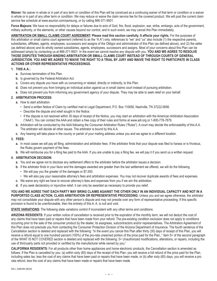Waiver: No waiver in whole or in part of any term or condition of this Plan will be construed as a continuing waiver of that term or condition or a waiver in whole or in part of any other term or condition. We may reduce or waive the claim service fee for the covered product. We will post the current claim service fee schedule at www.asurion.com/samsung, or by calling 866-371-9501.

**Force Majeure:** We have no responsibility for delays or failures due to acts of God, fire, flood, explosion, war, strike, embargo, acts of the government, military authority, or the elements, or other causes beyond our control, and in such event, we may cancel this Plan immediately.

**ARBITRATION OR SMALL CLAIMS COURT AGREEMENT: Please read this section carefully. It affects your rights.** For the purposes of this arbitration or small claims court agreement (referred to as the "A.A") only, references to "we" and "us" also include (1) the respective parents, subsidiaries, affiliates, agents, employees, successors and assigns of the Obligor and administrator of this Plan (as defined above), and (2) the seller (as defined above) and its wholly owned subsidiaries, agents, employees, successors and assigns. Most of your concerns about this Plan can be addressed simply by contacting us at 866-371-9501. In the event we cannot resolve any dispute with you, **YOU AND WE AGREE TO RESOLVE THOSE DISPUTES THROUGH BINDING ARBITRATION OR SMALL CLAIMS COURT INSTEAD OF THROUGH COURTS OF GENERAL JURISDICTION. YOU AND WE AGREE TO WAIVE THE RIGHT TO A TRIAL BY JURY AND WAIVE THE RIGHT TO PARTICIPATE IN CLASS ACTIONS OR OTHER REPRESENTATIVE PROCEEDINGS.**

# **1. THIS A.A.:**

- **a.** Survives termination of this Plan.
- **b.** Is governed by the Federal Arbitration Act.
- **c.** Covers any dispute you have with us concerning or related, directly or indirectly, to this Plan.
- **d.** Does not prevent you from bringing an individual action against us in small claims court instead of pursuing arbitration.
- **e.** Does not prevent you from informing any government agency of your dispute. They may be able to seek relief on your behalf.

# **2. ARBITRATION PROCESS:**

- **a.** How to start arbitration.
	- Send a written Notice of Claim by certified mail to Legal Department, P.O. Box 110656, Nashville, TN 37222-0656.
	- Describe the dispute and relief sought in the Notice.
	- If the dispute is not resolved within 30 days of receipt of the Notice, you may start an arbitration with the American Arbitration Association ("AAA"). You can contact the AAA and obtain a free copy of their rules and forms at www.adr.org or 1-800-778-7879.
- **b.** Arbitration will be conducted by the AAA following the Consumer Arbitration Rules ("Rules"). A court may decide the enforceability of this A.A. The arbitrator will decide all other issues. The arbitrator is bound by this A.A.
- **c.** Any hearing will take place in the county or parish of your mailing address unless you and we agree to a different location.

### **3. FEES:**

- **a.** In most cases we will pay all filing, administration and arbitrator fees. If the arbitrator finds that your dispute was filed to harass or is frivolous, the Rules govern payment of the fees.
- **b.** We will reimburse you for a filing fee paid to the AAA. If you are unable to pay a filing fee, we will pay it if you send us a written request.

# **4. ARBITRATION DECISION:**

- **a.** You and we agree not to disclose any settlement offers to the arbitrator before the arbitrator issues a decision.
- **b.** If the arbitrator finds in your favor and the damages awarded are greater than the last settlement we offered, we will do the following.
	- We will pay you the greater of the damages or \$7,500.
	- We will also pay your reasonable attorney's fees and arbitration expenses. You may not recover duplicate awards of fees and expenses.
- **c.** We waive any right we have to recover attorney's fees and expenses from you if we win the arbitration.
- **d.** If you seek declaratory or injunctive relief, it can only be awarded as necessary to provide you relief.

**YOU AND WE AGREE THAT EACH PARTY MAY BRING CLAIMS AGAINST THE OTHER ONLY IN AN INDIVIDUAL CAPACITY AND NOT IN A PURPORTED CLASS ACTION, CLASS ARBITRATION OR REPRESENTATIVE PROCEEDING.** Unless you and we agree otherwise, the arbitrator may not consolidate your dispute with any other person's dispute and may not preside over any form of representative proceeding. If this specific provision is found to be unenforceable, then the entirety of this A. A. is null and void.

# **STATE VARIATIONS:** The following state variations control if inconsistent with any other terms and conditions:

**ARIZONA RESIDENTS:** If your written notice of cancellation is received prior to the expiration of the monthly term, we will not deduct the cost of any claims that have been paid or repairs that have been made from your refund. The pre-existing condition exclusion does not apply to conditions occurring prior to the sale of the consumer product by the dealer, its assignees, subcontractors and/or representatives. The Arbitration Agreement of this Plan does not preclude you from contacting the Consumer Protection Division of the Arizona Department of Insurance. The fourth sentence of the Cancellation section is deleted and replaced with the following: "In the event you cancel this Plan after thirty (30) days of receipt of this Plan, you will receive a refund equal to one hundred percent (100%) of the pro-rata unearned portion of the price paid for the Plan,." Item 5> of the second paragraph of the WHAT IS NOT COVERED section is deleted and replaced with the following: 5> Unauthorized modifications, alterations, or repairs, including the use of third-party parts not provided or certified by the manufacturer while owned by you;"

**CALIFORNIA RESIDENTS:** For all products other than home appliances and home electronic products, the Cancellation section is amended as follows: If the Plan is cancelled by you: (a) within sixty (60) days of the receipt of this Plan, you will receive a full refund of the price paid for the Plan, including sales tax, less the cost of any claims that have been paid or repairs that have been made, or (b) after sixty (60) days, you will receive a pro rata refund, less the cost of any claims that have been made or repairs that have been made.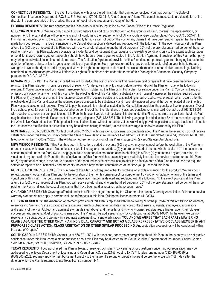**CONNECTICUT RESIDENTS:** In the event of a dispute with us or the administrator that cannot be resolved, you may contact The State of Connecticut, Insurance Department, P.O. Box 816, Hartford, CT 06142-0816, Attn: Consumer Affairs. The complaint must contain a description of the dispute, the purchase price of the product, the cost of repair of the product and a copy of the Plan.

**FLORIDA RESIDENTS:** The rate charged for this Plan is not subject to regulation by the Florida Office of Insurance Regulation.

**GEORGIA RESIDENTS:** We may only cancel this Plan before the end of its monthly term on the grounds of fraud, material misrepresentation, or nonpayment. The cancellation will be in writing and will conform to the requirements of Official Code of Georgia Annotated ("O.C.G.A.") 33-24-44. If this Plan is cancelled prior to the expiration of its monthly term, we will not deduct the cost of any claims that have been paid or repairs that have been made from your refund. The fourth sentence in the Cancellation section is deleted and replaced with the following: "In the event you cancel this Plan after thirty (30) days of receipt of this Plan, you will receive a refund equal to one hundred percent (100%) of the pro-rata unearned portion of the price paid for the Plan. This Plan excludes coverage for incidental and consequential damages and pre-existing conditions only to the extent such damages or conditions are known to you or reasonably should have been known to you. As stated in the Arbitration Agreement provision of this Plan, either party may bring an individual action in small claims court. The Arbitration Agreement provision of this Plan does not preclude you from bringing issues to the attention of federal, state, or local agencies or entities of your dispute. Such agencies or entities may be able to seek relief on your behalf. You and we agree to waive the right to a trial by jury and waive the right to participate in class actions, class arbitrations or other similar proceedings. Nothing contained in the Arbitration provision will affect your right to file a direct claim under the terms of this Plan against Continental Casualty Company pursuant to O.C.G.A. 33-7-6.

**NEVADA RESIDENTS:** If the Plan is cancelled, we will not deduct the cost of any claims that have been paid or repairs that have been made from your refund. If this Plan has been in force for a period of seventy (70) days, we may only cancel before the expiration of the Plan term due to the following reasons: 1) You engage in fraud or material misrepresentation in obtaining this Plan or in filing a claim for service under this Plan; 2) You commit any act, omission, or violation of any terms of this Plan after the effective date of this Plan which substantially and materially increases the service required under this Plan; or 3) any material change in the nature or extent of the required service or repair, including unauthorized service or repair, which occurs after the effective date of this Plan and causes the required service or repair to be substantially and materially increased beyond that contemplated at the time this Plan was purchased or last renewed. If we fail to pay the cancellation refund as stated in the Cancellation provision, the penalty will be ten percent (10%) of the purchase price for each thirty (30) day period or portion thereof that the refund and any accrued penalties remain unpaid. Contact us at 866-371-9501 with questions, concerns or complaints about this Plan. In the event you do not receive satisfaction under this Plan, complaints or questions about this Plan may be directed to the Nevada Department of Insurance, telephone (888) 872-3234. The following language is added to item 5> of the second paragraph of the What Is Not Covered section: "If the product is modified or altered without our authorization, we will only provide applicable coverage that is not related to the unauthorized modification or altercation or any breakdowns arising therefrom, unless such coverage is otherwise excluded by this Plan."

**NEW HAMPSHIRE RESIDENTS:** Contact us at 866-371-9501 with, questions, concerns, or complaints about the Plan. In the event you do not receive satisfaction under this Plan, you may contact the State of New Hampshire Insurance Department, 21 South Fruit Street, Suite 14, Concord, NH 03301, telephone number: 1-603-271-2261. The Arbitration Agreement provision of this Plan is subject to Revised Statutes Annotated 542.

**NEW MEXICO RESIDENTS:** If this Plan has been in force for a period of seventy (70) days, we may not cancel before the expiration of the Plan term or one (1) year, whichever occurs first, unless: (1) you fail to pay any amount due; (2) you are convicted of a crime which results in an increase in the service required under the Plan; (3) you engage in fraud or material misrepresentation in obtaining this Plan; (4) you commit any act, omission, or violation of any terms of this Plan after the effective date of this Plan which substantially and materially increase the service required under this Plan; or (5) any material change in the nature or extent of the required service or repair occurs after the effective date of this Plan and causes the required service or repair to be substantially and materially increased beyond that contemplated at the time you purchased this Plan.

**NORTH CAROLINA RESIDENTS:** The purchase of this Plan is not required either to purchase or to obtain financing for the product. We may nonrenew, but may not cancel this Plan prior to the expiration of the monthly term except for non-payment by you or for violation of any of the terms and conditions of this Plan. The fourth sentence in the Cancellation section is deleted and replaced with the following: "In the event you cancel this Plan after thirty (30) days of receipt of this Plan, you will receive a refund equal to one hundred percent (100%) of the pro-rata unearned portion of the price paid for the Plan, and less the cost of any claims that have been paid or repairs that have been made."

**OKLAHOMA RESIDENTS:** Coverage afforded under this Plan is not guaranteed by the Oklahoma Insurance Guaranty Association. Oklahoma service warranty statutes do not apply to commercial use references in this Plan. Oklahoma license number: 44198043.

**OREGON RESIDENTS:** The Arbitration Agreement provision of this Plan is replaced with the following: "For the purpose of this Arbitration Agreement, references to "we" and "us" also include the respective parents, subsidiaries, affiliates, service contract insurers, agents, employees, successors and assigns of the Plan Obligor and administrator, as defined above; and the seller and its wholly owned subsidiaries, affiliates, agents, employees, successors and assigns. Most of your concerns about the Plan can be addressed simply by contacting us at 866-371-9501. In the event we cannot resolve any dispute, you and we may, in a separate agreement, consent to arbitration. **YOU AND WE AGREE THAT EACH PARTY MAY BRING CLAIMS AGAINST THE OTHER ONLY IN AN INDIVIDUAL CAPACITY AND NOT AS A CLASS REPRESENTATIVE OR CLASS MEMBER IN ANY PURPORTED CLASS ACTION, CLASS ARBITRATION OR OTHER SIMILAR PROCEEDING.** Any arbitration proceedings will be conducted within the state of Oregon."

**SOUTH CAROLINA RESIDENTS:** Contact us at 866-371-9501 with questions, concerns or complaints about this Plan. In the event you do not receive satisfaction under this Plan, complaints or questions about this Plan may be directed to the South Carolina Department of Insurance, Capitol Center, 1201 Main Street, Ste. 1000, Columbia, SC 29201 or 1-800-768-3467.

**TEXAS RESIDENTS:** If you purchased this Plan in Texas, unresolved complaints concerning us or questions concerning our registration may be addressed to the Texas Department of Licensing and Regulation, P.O. Box 12157, Austin, TX 78711, telephone number (512) 463-6599 or (800) 803-9202. You may apply for reimbursement directly to the insurer if a refund or credit is not paid before the forty-sixth (46th) day after the date on which the Plan is returned to us. Texas license number: 344.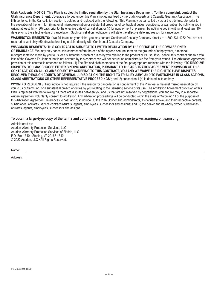**Utah Residents: NOTICE. This Plan is subject to limited regulation by the Utah Insurance Department. To file a complaint, contact the Utah Insurance Department.** Coverage afforded under this Plan is not guaranteed by the Utah Property and Casualty Guaranty Association. The fifth sentence in the Cancellation section is deleted and replaced with the following: "This Plan may be cancelled by us or the administrator prior to the expiration of the term for: (i) material misrepresentation or substantial breaches of contractual duties, conditions, or warranties, by notifying you in writing at least thirty (30) days prior to the effective date of cancellation; or (ii) for nonpayment of premium by notifying you in writing at least ten (10) days prior to the effective date of cancellation. Such cancellation notifications will state the effective date and reason for cancellation."

**WASHINGTON RESIDENTS:** If we fail to act on your claim, you may contact Continental Casualty Company directly at 1-800-831-4262. You are not required to wait sixty (60) days before filing a claim directly with Continental Casualty Company.

# **WISCONSIN RESIDENTS: THIS CONTRACT IS SUBJECT TO LIMITED REGULATION BY THE OFFICE OF THE COMMISSIONER**

**OF INSURANCE.** We may only cancel this contract before the end of the agreed contract term on the grounds of nonpayment, a material misrepresentation made by you to us, or a substantial breach of duties by you relating to the product or its use. If you cancel this contract due to a total loss of the Covered Equipment that is not covered by this contract, we will not deduct an administrative fee from your refund. The Arbitration Agreement provision of this contract is amended as follows: (1) The fifth and sixth sentences of the first paragraph are replaced with the following: **"TO RESOLVE DISPUTES, YOU MAY CHOOSE EITHER BINDING ARBITRATION, PURSUANT TO THE ARBITRATION AGREEMENT PROVISION OF THIS CONTRACT, OR SMALL CLAIMS COURT. BY AGREEING TO THIS CONTRACT, YOU AND WE WAIVE THE RIGHT TO HAVE DISPUTES RESOLVED THROUGH COURTS OF GENERAL JURISDICTION, THE RIGHT TO TRIAL BY JURY, AND TO PARTICIPATE IN CLASS ACTIONS, CLASS ARBITRATIONS OR OTHER REPRESENTATIVE PROCEEDINGS"**; and (2) subsection 1.(b) is deleted in its entirety.

**WYOMING RESIDENTS:** Prior notice is not required if the reason for cancellation is nonpayment of the Plan fee, a material misrepresentation by you to us or Samsung, or a substantial breach of duties by you relating to the Samsung service or its use. The Arbitration Agreement provision of this Plan is replaced with the following: "If there are disputes between you and us that are not resolved by negotiations, you and we may in a separate written agreement voluntarily consent to arbitration. Any arbitration proceedings will be conducted within the state of Wyoming." For the purpose of this Arbitration Agreement, references to "we" and "us" include (1) the Plan Obligor and administrator, as defined above, and their respective parents, subsidiaries, affiliates, service contract insurers, agents, employees, successors and assigns; and (2) the dealer and its wholly owned subsidiaries, affiliates, agents, employees, successors and assigns.

**To obtain a large-type copy of the terms and conditions of this Plan, please go to www.asurion.com/samsung.**

Administered by: Asurion Warranty Protection Services, LLC Asurion Warranty Protection Services of Florida, LLC P.O. Box 1340 • Sterling, VA 20167-1340 © 2022 Asurion, LLC • All Rights Reserved.

Name:

Address: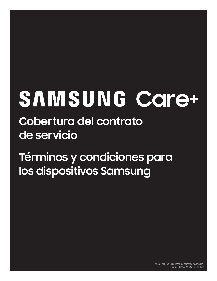# SAMSUNG Care+

**Cobertura del contrato de servicio**

**Términos y condiciones para los dispositivos Samsung**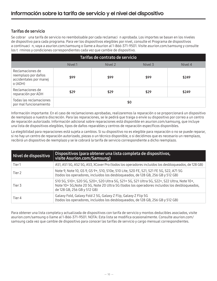# Tarifas de servicio

Se cobrar una tarifa de servicio no reembolsable por cada reclamaci n aprobada. Los importes se basan en los niveles de dispositivo para cada programa. Para ver los dispositivos elegibles por nivel, consulte el Programa de dispositivos a continuaci n, vaya a asurion.com/samsung o llame a Asurion al 1-866-371-9501. Visite asurion.com/samsung y consulte los t rminos y condiciones correspondientes cada vez que cambie de dispositivo.

| Tarifas de contrato de servicio                                             |         |         |         |         |
|-----------------------------------------------------------------------------|---------|---------|---------|---------|
|                                                                             | Nivel 1 | Nivel 2 | Nivel 3 | Nivel 4 |
| Reclamaciones de<br>reemplazo por daños<br>accidentales por manej<br>O(ADH) | \$99    | \$99    | \$99    | \$249   |
| Reclamaciones de<br>reparación por ADH                                      | \$29    | \$29    | \$29    | \$249   |
| Todas las reclamaciones<br>por mal funcionamiento                           | \$0     |         |         |         |

Información importante: En el caso de reclamaciones aprobadas, realizaremos la reparación o se proporcionará un dispositivo de reemplazo a nuestra discreción. Para las reparaciones, se le pedirá que traiga o envíe su dispositivo por correo a un centro de reparación autorizado. Información adicional sobre reparaciones está disponible en asurion.com/samsung, que incluye una lista de dispositivos elegibles, tipos de daños reparables y centros de reparación específicos disponibles.

La elegibilidad para reparaciones está sujeta a cambios. Si su dispositivo no es elegible para reparación o no se puede reparar, si no hay un centro de reparación autorizado, piezas o un técnico disponible, o si decidimos que es necesario un reemplazo, recibirá un dispositivo de reemplazo y se le cobrará la tarifa de servicio correspondiente a dicho reemplazo.

| Nivel de dispositivo | Dispositivos (para obtener una lista completa de dispositivos,<br>visite Asurion.com/Samsung)                                                                                                                            |
|----------------------|--------------------------------------------------------------------------------------------------------------------------------------------------------------------------------------------------------------------------|
| Tier1                | A51, A51 5G, A52 5G, A53, XCover Pro (todos los operadores incluidos los desbloqueados, de 128 GB)                                                                                                                       |
| Tier 2               | Note 9, Note 10, GS 9, GS 9+, S10, S10e, S10 Lite, S20 FE, S21, S21 FE 5G, S22, A71 5G<br>(todos los operadores, incluidos los desbloqueados, de 128 GB, 256 GB y 512 GB)                                                |
| Tier 3               | S10 5G, S10+, S20 5G, S20+, S20 Ultra 5G, S21+ 5G, S21 Ultra 5G, S22+, S22 Ultra, Note 10+,<br>Note 10+5G, Note 205G, Note 20 Ultra 5G (todos los operadores incluidos los desbloqueados,<br>de 128 GB, 256 GB y 512 GB) |
| Tier 4               | Galaxy Fold, Galaxy Fold 2 5G, Galaxy Z Flip, Galaxy Z Flip 5G<br>(todos los operadores, incluidos los desbloqueados, de 128 GB, 256 GB y 512 GB)                                                                        |

Para obtener una lista completa y actualizada de dispositivos con tarifa de servicio y montos deducibles asociados, visite asurion.com/samsung o llame al 1-866-371-9501. NOTA: Esta lista se modifica ocasionalmente. Consulte asurion.com/ samsung cada vez que cambie de dispositivo para conocer las tarifas de servicio y cargo mensual correspondientes.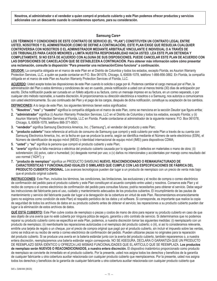**Nosotros, el administrador o el vendedor a quien compró el producto cubierto y este Plan podemos ofrecer productos y servicios adicionales con un descuento cuando lo consideremos oportuno, para su consideración.**

# **Samsung Care+**

**LOS TÉRMINOS Y CONDICIONES DE ESTE CONTRATO DE SERVICIO (EL "PLAN") CONSTITUYEN UN CONTRATO LEGAL ENTRE USTED, NOSOTROS Y EL ADMINISTRADOR (COMO SE DEFINE A CONTINUACIÓN). ESTE PLAN EXIGE QUE RESUELVA CUALQUIER CONTROVERSIA CON NOSOTROS O EL ADMINISTRADOR MEDIANTE ARBITRAJE VINCULANTE E INDIVIDUAL O A TRAVÉS DE LOS TRIBUNALES PARA CASOS MENORES y LIMITA NUESTRA RESPONSABILIDAD HACIA USTED. LEA ESTE PLAN DETENIDA Y COMPLETAMENTE. SI NO ESTÁ DE ACUERDO CON ALGUNA DE SUS DISPOSICIONES, PUEDE CANCELAR ESTE PLAN DE ACUERDO CON LAS DISPOSICIONES DE CANCELACIÓN QUE SE ESTABLECEN A CONTINUACIÓN. Para obtener más información sobre cómo presentar una reclamación, consulte la disposición "Para presentar una reclamación/Cómo funciona" a continuación.** 

**DEUDOR:** La compañía obligada en el marco de este Plan en el Distrito de Columbia y todos los estados, excepto Florida, es Asurion Warranty Protection Services, LLC, a quién se puede contactar en P.O. Box 061078, Chicago, IL 60606-1078, teléfono 1-866-856-3882. En Florida, la compañía obligada en el marco de este Plan es Asurion Warranty Protection Services of Florida, LLC.

**ACUERDO:** Usted acepta todas las disposiciones de este Plan cuando lo solicita o paga por él. Podemos cambiar el cargo mensual por el Plan, la administración del Plan o estos términos y condiciones de vez en cuando, previa notificación a usted con al menos treinta (30) días de anticipación por escrito. Dicha notificación puede ser cursada en un folleto adjunto a su factura, como un mensaje impreso en su factura, en un correo separado, o por cualquier otro método razonable, a nuestra discreción. Al proporcionarnos su dirección electrónica a nosotros o a Samsung, nos autoriza a comunicarnos con usted electrónicamente. Su uso continuado del Plan y el pago de los cargos, después de dicha notificación, constituye su aceptación de los cambios.

**DEFINICIONES:** A lo largo de este Plan, los siguientes términos tienen estos significados:

- **1. "Nosotros", "nos"** y **"nuestro"** significa la compañía obligada en el marco de este Plan, como se menciona en la sección Deudor que figura arriba;
- **2. "administrador"** significa (i) Asurion Warranty Protection Services, LLC en el Distrito de Columbia y todos los estados, excepto Florida; y (ii) Asurion Warranty Protection Services of Florida, LLC en Florida. Puede contactarse al administrador de la siguiente manera: P.O. Box 061078, Chicago, IL 60606-1078, teléfono 866-371-9501;
- **3. "vendedor"** significa Samsung Electronics America, Inc. ("Samsung"), el vendedor del producto y este Plan;
- **4. "producto cubierto"** hace referencia al artículo de consumo de Samsung que compró y está cubierto por este Plan a través de su cuenta con Samsung Electronics America, Inc. en la fecha en que se produce la avería, según se identifica mediante el Número de serie electrónico (ESN), el Número de identificación de equipo móvil (MEID) o Identidad internacional de equipo móvil (IMEI) para dispositivos CDMA;
- **5. "usted"** y **"su"** significa la persona que compró el producto cubierto y este Plan;
- **6. "avería"** significa la falla mecánica o eléctrica del producto cubierto causada por lo siguiente: (i) defectos en materiales o mano de obra; (ii) sobretensión; (iii) polvo, calor o humedad; (iv) desgaste normal por uso; o (v) daños no intencionales y accidentales por manejo como resultado del uso normal ("ADH"); y
- **7. "producto de reemplazo"** significa un PRODUCTO SAMSUNG **NUEVO, REACONDICIONADO O REMANUFACTURADO DE CARACTERÍSTICAS Y FUNCIONALIDAD IGUALES O SIMILARES QUE CUMPLE CON LAS ESPECIFICACIONES DE FÁBRICA DEL PRODUCTO CUBIERTO ORIGINAL.** Los avances tecnológicos pueden dar lugar a un producto de reemplazo con un precio de venta más bajo que el producto original cubierto.

**INSTRUCCIONES:** Este Plan, incluidos los términos, las condiciones, las limitaciones, las exclusiones y el recibo de compra o correo electrónico de confirmación del pedido para el producto cubierto y este Plan constituyen el acuerdo completo entre usted y nosotros. Conserve este Plan y el recibo de compra o el correo electrónico de confirmación del pedido para consultas futuras; podría necesitarlos para obtener el servicio. Debe seguir las instrucciones del fabricante para el uso, cuidado y mantenimiento adecuados de los productos cubiertos. El incumplimiento de las pautas de mantenimiento y servicio del fabricante puede dar lugar a la denegación de la cobertura en virtud de este Plan. Recomendamos encarecidamente (pero no exigimos como condición de este Plan) el respaldo periódico de los datos y el software. Si corresponde, es importante que realice la copia de seguridad de todos los archivos de datos en su producto cubierto antes de obtener el servicio; las reparaciones a su producto cubierto pueden dar lugar a la eliminación de estos archivos de datos.

**QUÉ ESTÁ CUBIERTO:** Este Plan cubre costos de reemplazo o piezas y costos de mano de obra para reparar su producto cubierto en caso de que sea objeto de una avería que no esté cubierta por ninguna póliza de seguro, garantía u otro contrato de servicio. Si determinamos que no podemos reparar su producto cubierto como se especifica en este Plan, podemos, a nuestra discreción tomar las siguientes medidas: (i) reemplazarlo con un producto de reemplazo; (ii) reembolsarle las reparaciones autorizadas o el reemplazo del producto cubierto; o (iii), si así lo consideramos relevante, emitirle una tarjeta de regalo o un cheque, por el precio de compra original que pagó por el producto cubierto, sin incluir el impuesto sobre las ventas, como se indica en su recibo de venta o correo electrónico de confirmación del pedido. Pueden utilizarse piezas no originales para la reparación del producto cubierto. Si se produce una avería en la batería estándar junto con la avería del producto cubierto, también repararemos o, a nuestra entera discreción, reemplazaremos una batería estándar según corresponda. NO SE ASEGURA, DECLARA O GARANTIZA QUE UN PRODUCTO DE REEMPLAZO SERÁ IDÉNTICO U OFREZCA LAS MISMAS FUNCIONALIDADES QUE EL ARTÍCULO QUE SE REEMPLAZA. **Los productos de reemplazo serán NUEVOS O REACONDICIONADOS, a nuestra entera discreción.** El dispositivo inalámbrico proporcionado como producto de reemplazo se convierte de inmediato en el producto cubierto. Por la presente, usted nos asigna todos los derechos y beneficios de la garantía de cualquier fabricante u otra cobertura auxiliar relacionada con cualquier producto cubierto que reemplacemos. Por la presente, usted nos asigna todos los derechos y beneficios de la garantía de cualquier fabricante u otra cobertura auxiliar relacionada con cualquier producto cubierto que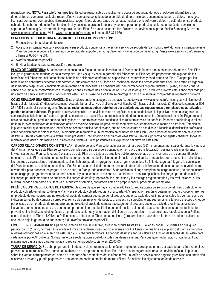reemplacemos. **NOTA: Para teléfonos móviles:** Usted es responsable de realizar una copia de seguridad de todo el software informático y los datos antes de comenzar cualquier reparación. No somos responsables de la pérdida de datos, incluidos documentos, bases de datos, mensajes, licencias, contactos, contraseñas, libros/revistas, juegos, fotos, videos, tonos de llamada, música u otro software o datos no estándar en su producto cubierto. La cobertura de este Plan también incluye acceso a asistencia técnica y soporte para sus productos cubiertos a través del servicio de soporte de Samsung Care+ durante la vigencia de este Plan. Se puede acceder a los términos de servicio del soporte técnico Samsung Care+ en www.asurion.com/samsung. Visite www.asurion.com/samsung o llame al 866-371-9501.

# **BENEFICIOS DE COBERTURA A PARTIR DE LA FECHA DE INSCRIPCIÓN:**

- **1.** Protección contra subidas de tensión.
- **2.** Acceso a asistencia técnica y soporte para sus productos cubiertos a través del servicio de soporte de Samsung Care+ durante la vigencia de este Plan. Se puede acceder a los términos de servicio del soporte Samsung Care+ en www.asurion.com/samsung. Visite www.asurion.com/Samsung o llame al 866-371-9501.
- **3.** Averías provocadas por ADH.
- **4.** Envío al fabricante para su reparación o reemplazo.

**PLAZO DE COBERTURA:** Su cobertura comienza en la fecha en que se inscribió en el Plan y continúa mes a mes hasta por 36 meses. Este Plan incluye la garantía del fabricante; no la reemplaza. Una vez que vence la garantía del fabricante, el Plan seguirá proporcionando algunos de los beneficios del fabricante, así como ciertos beneficios adicionales conforme se especifica en los términos y condiciones del Plan. Excepto por los beneficios de coberturas descritos anteriormente, que comienzan en su fecha de inscripción, todas las demás coberturas del Plan entran en vigencia de inmediato después del vencimiento de la garantía del fabricante. La cobertura del Plan permanecerá vigente durante su plazo, a menos que se cancele o cumpla de conformidad con las disposiciones establecidas a continuación. En el caso de que su producto cubierto esté siendo reparado por un centro de servicio autorizado cuando expire este Plan, el plazo de este Plan se prorrogará hasta que se haya completado la reparación cubierta.

**CÓMO REALIZAR UNA RECLAMACIÓN:** Si su producto cubierto es objeto de una avería, puede visitar www.asurion.com/samsung las veinticuatro (24) horas del día, los siete (7) días de la semana, o puede llamar al servicio al cliente las veinticuatro (24) horas del día, los siete (7) días de la semana al 866-371-9501 para hablar con un agente. **Todas las reclamaciones deben autorizarse por adelantado. Las reparaciones o remplazos no autorizados pueden no estar cubiertos.** Es posible que haya disponible un servicio técnico en depósito, al que pueda llevar el dispositivo o remoto; el agente de servicio al cliente le informará sobre el tipo de servicio para el que califica su producto cubierto durante la presentación de la reclamación. Pagaremos el costo de envío de su producto cubierto hacia y desde el centro de servicio autorizado si se requiere servicio en depósito. Podemos solicitarle que rellene un formulario de facilitación de reclamación antes de recibir el servicio, un producto de reemplazo o el reembolso en el marco de este Plan. También se le puede solicitar que presente una identificación con foto emitida por el estado, que no sea un carnet de estudiante o licencia o identificación profesional, como condición para recibir el servicio, un producto de reemplazo o un reembolso en el marco de este Plan. Debe presentar su reclamación en el plazo de treinta (30) días posteriores a la avería. Si no presenta su reclamación en el plazo de esos treinta (30) días, podemos denegarle cobertura. Todas las reclamaciones deben informarse en el plazo de los treinta (30) días posteriores a la expiración del plazo de este Plan.

**CARGOS RELACIONADOS CON ESTE PLAN:** El costo de este Plan se le facturará en treinta y seis (36) incrementos mensuales durante la vigencia del Plan, a menos que este Plan se cancele o cumpla como se describe a continuación, en cuyo caso la facturación cesará. Cada mes durante la vigencia de este Plan, se le cobrará el costo de este Plan en la tarjeta de crédito o débito proporcionada en el momento de la compra. El costo mensual de este Plan se indica en su recibo de compra o correo electrónico de confirmación de pedido. Los impuestos sobre las ventas aplicables y los recargos y evaluaciones reglamentarias, si los hubiera, pueden agregarse a sus cargos mensuales. Su falta de pago dará lugar a la cancelación del Plan, tal como se establece a continuación. Es su responsabilidad mantener una tarjeta de crédito o información de cuenta bancaria válida ante el vendedor para procesar los pagos; si no lo hace, su Plan puede cancelarse. Si no recibimos el pago completo del cargo mensual, se puede incurrir en un cargo por pago atrasado de acuerdo con las leyes del estado de residencia. Las tarifas de servicio aplicables, los cargos por no devolución, los cargos por reclamaciones no cubiertas, los cargos de envío y reposición, los impuestos y los recargos reglamentarios y las evaluaciones, si las hubiera, pueden agregarse a su factura o, a nuestra discreción, cobrársele antes de proporcionar el producto de reemplazo.

**POLÍTICA CONTRA DEFECTOS DE FÁBRICA:** Después de que se hayan completado tres (3) reparaciones de servicio por el mismo defecto en un producto cubierto en el marco de este Plan y ese producto cubierto requiera una cuarta (4.ª) reparación, según lo determinemos, le proporcionaremos un producto de reemplazo, que no exceda el precio de compra que pagó por el producto cubierto, excluidos los impuestos sobre las ventas, como se indica en su recibo de compra o correo electrónico de confirmación de pedido, o, a nuestra discreción, le entregaremos una tarjeta de regalo o cheque por el costo de un producto de reemplazo que no exceda el precio de compra que pagó por el producto cubierto, excluidos los impuestos sobre las ventas, como se indica en su recibo de compra o en el correo electrónico de confirmación del pedido. Las comprobaciones de mantenimiento preventivo, las limpiezas, el diagnóstico de productos cubiertos y la formación del cliente no se consideran reparaciones a los efectos de la Política contra defectos de fábrica. NOTA: La Política contra defectos de fábrica no se aplica a: (i) reparaciones realizadas mientras el producto cubierto se encuentra bajo la garantía del fabricante; o (ii) averías provocadas por ADH.

**LÍMITE DE RECLAMACIONES:** A partir de la fecha en que se inscribió, este Plan cubrirá hasta tres (3) averías por ADH cubiertas en cualquier período de un (1) año, no más. Si se agota el Límite de reclamaciones debido a averías por ADH antes de que finalice el plazo del Plan, se cumplirán nuestras obligaciones en el marco de este Plan y su cobertura terminará. El período de un (1) año se calcula en función de la fecha del siniestro para cada avería por ADH cubierta. No hay límite para reclamaciones debido a todas las demás averías. Para cualquier reclamación única, la cantidad máxima que gastaremos para reemplazar o reparar el producto cubierto es \$2500.00.

**TARIFA DE SERVICIO:** Se debe pagar una tarifa de servicio no reembolsable, más los impuestos correspondientes, por cada reparación o reemplazo provisto en el marco este Plan, como se establece en el programa a continuación. Usted acepta pagarnos la tarifa de servicio, más los impuestos sobre las ventas correspondientes, antes de la reparación o reemplazo del teléfono móvil. La tarifa de servicio debe pagarse y recibirse con antelación al servicio prestado y puede pagarse con una tarjeta de débito o crédito de marca válidas. Se aplican las siguientes tarifas de servicio: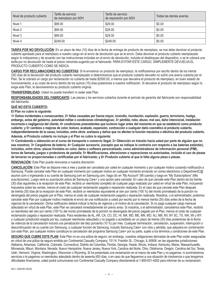| Nivel de producto cubierto | Tarifa de servicio<br>de reemplazo por ADH | Tarifa de servicio<br>de reparación por ADH | Todas las demás averías |
|----------------------------|--------------------------------------------|---------------------------------------------|-------------------------|
| Nivel 1                    | \$99.00                                    | \$29.00                                     | \$0.00                  |
| Nivel 2                    | \$99.00                                    | \$29.00                                     | \$0.00                  |
| Nivel 3                    | \$99.00                                    | \$29.00                                     | \$0.00                  |
| Nivel 4                    | \$249.00                                   | \$249.00                                    | \$0.00                  |

**TARIFA POR NO DEVOLUCIÓN:** En un plazo de diez (10) días de la fecha de entrega de producto de reemplazo, se nos debe devolver el producto cubierto aprobado para el reemplazo a nuestro cargo en el envío de devolución que se le envío. Debe devolver el producto cubierto reemplazado según lo indiquemos y de acuerdo con las instrucciones incluidas en el envío de devolución, incluido el desbloqueo del dispositivo, o se le cobrará una tarifa por no devolución de hasta el precio minorista sugerido por el fabricante. PARA EVITAR ESTE CARGO, SIMPLEMENTE DEVUELVA EL PRODUCTO CUBIERTO COMO SE INDICA.

**CARGO POR RECLAMACIONES NO CUBIERTAS:** Si le enviamos un producto de reemplazo, le notificaremos por escrito dentro de los treinta (30) días de la devolución del producto cubierto reemplazado si determinamos que el producto cubierto devuelto no sufrió una avería cubierta por el Plan. Se le cobrará un cargo por reclamación no cubierta de hasta \$2500.00, a menos que devuelva el producto de reemplazo, en buen estado de funcionamiento, a su costo de envío dentro de los quince (15) días posteriores a nuestra notificación. Si devuelve el producto de reemplazo según lo exige este Plan, le devolveremos su producto cubierto original.

# **TRANSFERIBILIDAD:** Usted no puede transferir ni ceder este Plan.

**RESPONSABILIDADES DEL FABRICANTE:** Las piezas y los servicios cubiertos durante el período de garantía del fabricante son responsabilidad del fabricante.

# **QUÉ NO ESTÁ CUBIERTO:**

# **El Plan no cubre lo siguiente:**

**1> Daños incidentales o consecuentes; 2> fallas causadas por fuerza mayor, incendio, inundación, explosión, guerra, terrorismo, huelga, embargo, actos del gobierno, autoridad militar o condiciones climatológicas; 3> pérdida, robo, abuso, mal uso, daño intencional, instalación incorrecta o negligencia del cliente; 4> condiciones preexistentes que tuvieron lugar antes del momento en que se estableció como producto cubierto; y 5> cambios o mejoras de color, textura, acabado, expansión, contracción o cualquier daño cosmético al producto cubierto, independientemente de la causa, incluidos, entre otros: arañazos y daños que no afecten la función mecánica o eléctrica del producto cubierto. Además, el Producto cubierto no incluye y el Plan no cubre lo siguiente:** 

**1> Contrabando u obtención en el curso de transporte o comercio ilegal; 2> Obtención en tránsito hacia usted por parte de alguien que no**  sea nosotros; 3> Cargadores de batería; 4> Cualquier accesorio, (excepto que se indique lo contrario con respecto a las baterías estándar), **incluidos, entre otros: placas frontales en color, datos o software personalizado, como administradores de información personal (PIM), tonos de llamada, juegos o protectores de pantalla; 5> Modificaciones, alteraciones o reparaciones no autorizadas, incluido el uso de piezas de terceros no proporcionadas o certificadas por el fabricante; y 6> Producto cubierto al que le falta alguna pieza o piezas.** 

**RENOVACIÓN:** Este Plan puede renovarse a nuestra discreción.

**CANCELACIÓN:** Este Plan se dispone mes a mes y puede ser cancelado por usted en cualquier momento y por cualquier motivo cursando notificación a Samsung. Puede cancelar este Plan en cualquier momento por cualquier motivo en cualquier momento enviando un correo electrónico a DepartmentC@ asurion.com o ingresando a su cuenta de Samsung.com en Samsung.com, haga clic en "My Account" (Mi cuenta) y luego en "My Subscriptions" (Mis suscripciones). Luego verá su suscripción activa de Samsung Care+ y una opción para cancelar. En caso de que cancele este Plan dentro de los treinta (30) días siguientes a la recepción de este Plan, recibirá un reembolso completo de cualquier pago realizado por usted en virtud de este Plan, incluyendo impuestos sobre las ventas, menos el costo de cualquier reclamación pagada o reparación realizada. En el caso de que cancele este Plan después de treinta (30) días de la recepción de este Plan, recibirá un reembolso equivalente al cien por ciento (100 %) del monto prorrateado de la porción no devengada del precio pagado por el Plan, menos el costo de cualquier reclamación pagada o reparación realizada. Nosotros, o el administrador, podemos cancelar este Plan por cualquier motivo mediante el envío de una notificación a usted por escrito por lo menos treinta (30) días antes de la fecha de vigencia de la cancelación. Dicha notificación deberá indicar la fecha de vigencia y el motivo de la cancelación. Si no paga cualquier cargo mensual adeudado en virtud de este Plan, este Plan se cancelará inmediatamente sin previo aviso. Si nosotros, o el administrador, cancelamos este Plan, recibirá un reembolso del cien por ciento (100 %) del monto prorrateado de la porción no devengada del precio pagado por el Plan, menos el costo de cualquier reclamación pagada o reparación realizada. Para residentes de AL, AR, CA, CO, DC, HI, MA, MD, ME, MN, MO, NJ, NM, NV, NY SC, TX, WA, WI y WY y cualquier jurisdicción exigida por ley, cualquier reembolso adeudado y no pagado o acreditado en un plazo de treinta (30) días posteriores de la fecha de videncia de la cancelación incluirá una penalización del diez porciento (10 %) por mes. Cualquier terminación, cancelación, suspensión, interrupción o descontinuación de su cuenta con Samsung, o cualquier función de Samsung, incluido Samsung Care+ con robo y pérdida, que adquiera en combinación con este Plan, por cualquier motivo constituye la cancelación del programa Samsung Care+ por su parte, sujeto a los términos y condiciones de este Plan.

**SEGURO QUE CUBRE ESTE PLAN:** Este Plan no es una póliza de seguro; sin embargo, nuestras obligaciones derivadas de este Plan están aseguradas en virtud de una póliza de seguro emitida por Continental Casualty Company, 151 N. Franklin St., Chicago, IL 60606, en las siguientes jurisdicciones: Alabama, Arkansas, California, Colorado, Connecticut, Distrito de Columbia, Florida, Georgia, Hawái, Illinois, Indiana, Kentucky, Maine, Massachusetts, Minnesota, Misuri, Montana, Nevada, Nuevo Hampshire, Nueva Jersey, Nueva York, Carolina del Norte, Ohio, Oklahoma, Oregón, Carolina del Sur, Texas, Utah, Vermont, Virginia, Washington, Wisconsin o Wyoming. Si ha presentado una reclamación en el marco de este Plan y no pagamos, ni suministramos servicios o le pagamos un reembolso adeudado dentro de sesenta (60) días, o en caso de que lleguemos a una situación de insolvencia o que tengamos dificultades financieras, usted podrá comunicarse con Continental Casualty Company directamente al 1-800-831-4262 para informar de su reclamación.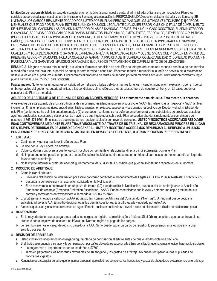**Limitación de responsabilidad:** En caso de cualquier error, omisión o falla por nuestra parte, el administrador o Samsung con respecto al Plan o los servicios proporcionados por nosotros, el administrador o Samsung a continuación, la RESPONSABILIDAD nuestra, del administrador y de Samsung SE LIMITARÁ A LOS CARGOS REALMENTE PAGADO POR USTED POR EL PLAN (PERO NO MÁS QUE LOS ÚLTIMOS VEINTICUATRO [24] CARGOS MENSUALES QUE PAGÓ POR EL PLAN). ESTE ES SU ÚNICA SOLUCIÓN LEGAL ANTE CUALQUIER ERROR, OMISIÓN O FALLA DE CUMPLIMIENTO DE NUESTRAS OBLIGACIONES, LAS DEL ADMINISTRADOR O LAS DE SAMSUNG. ADEMÁS, EN NINGÚN CASO NOSOTROS, EL ADMINISTRADOR O SAMSUNG, SEREMOS RESPONSABLES POR DAÑOS INDIRECTOS, INCIDENTALES, EMERGENTES, ESPECIALES, EJEMPLARES O PUNITIVOS (INCLUSO SI NOSOTROS, EL ADMINISTRADOR O SAMSUNG, HEMOS SIDO ADVERTIDOS O HEMOS PREVISTO LA POSIBILIDAD DE TALES DAÑOS), DERIVADOS DEL PLAN O DEL CUMPLIMIENTO DE OBLIGACIONES POR PARTE DE NOSOTROS, EL ADMINISTRADOR O SAMSUNG, EN EL MARCO DEL PLAN O DE CUALQUIER DISPOSICIÓN DE ESTE PLAN, POR EJEMPLO, LUCRO CESANTE O LA PÉRDIDA DE BENEFICIOS ANTICIPADOS O LA PÉRDIDA DEL NEGOCIO. EXCEPTO LO EXPRESAMENTE ESTABLECIDO EN ESTE PLAN, RENUNCIAMOS ESPECÍFICAMENTE A CUALQUIER Y TODA DECLARACIÓN O GARANTÍA, EXPRESA O IMPLÍCITA, RESPECTO AL PLAN Y LOS SERVICIOS QUE PROVEEN EN VIRTUD DEL PRESENTE ASURION Y SAMSUNG, INCLUIDA CUALQUIER GARANTÍA IMPLÍCITA DE TITULARIDAD, COMERCIABILIDAD O IDONEIDAD PARA UN FIN PARTICULAR Y LAS GARANTÍAS IMPLÍCITAS DERIVADAS DEL CURSO DE TRATAMIENTO O DE CUMPLIMIENTO DE OBLIGACIONES.

**RENUNCIA:** Ninguna renuncia total o parcial a cualquier término o condición de este Plan se interpretará como una renuncia continua de ese término o condición o una renuncia total o parcial de cualquier otro término o condición. Podemos reducir o renunciar a la tarifa de servicio de la reclamación de la cual es objeto el producto cubierto. Publicaremos el programa de tarifas de servicio por reclamaciones actual en www.asurion.com/samsung o puede llamar al 866-371-9501 para solicitarla.

**Fuerza mayor:** No tenemos ninguna responsabilidad por retrasos o fallas debido a hechos fortuitos, incendio, inundación, explosión, guerra, huelga, embargo, actos del gobierno, autoridad militar, o las condiciones climatológicas u otras causas fuera de nuestro control y, en tal caso, podemos cancelar este Plan de inmediato.

# **ACUERDO DE ARBITRAJE O DE TRIBUNAL DE RECLAMACIONES MENORES: Lea atentamente esta cláusula. Esto afecta sus derechos.**

A los efectos de este acuerdo de arbitraje o tribunal de casos menores (denominado en lo sucesivo el "A.A"), las referencias a "nosotros" y "nos" también incluyen a (1) las empresas matrices, subsidiarias, filiales, agentes, empleados, sucesores y cesionarios respectivos del Deudor y el administrador de este Plan (conforme se ha definido anteriormente); y (2) el vendedor (conforme se ha definido anteriormente) y sus subsidiarias de propiedad absoluta, agentes, empleados, sucesores y cesionarios. La mayoría de sus inquietudes sobre este Plan se pueden abordar simplemente al comunicarse con nosotros al 866-371-9501. En el caso de que no podamos resolver cualquier controversia con usted, **USTED Y NOSOTROS ACORDAMOS RESOLVER ESAS CONTROVERSIAS MEDIANTE EL ARBITRAJE VINCULANTE O A TRAVÉS DE UN TRIBUNAL DE RECLAMACIONES MENORES EN LUGAR DE A TRAVÉS DE TRIBUNALES DE JURISDICCIÓN GENERAL. USTED Y NOSOTROS ACORDAMOS RENUNCIAR AL DERECHO A UN JUICIO POR JURADO Y RENUNCIAR AL DERECHO A PARTICIPAR EN DEMANDAS COLECTIVAS, U OTROS PROCESOS REPRESENTATIVOS.** 

# **1. ESTE A.A.:**

- **a.** Continúa en vigencia tras la extinción de este Plan.
- **b.** Se rige por la Ley Federal de Arbitraje.
- **c.** Cubre cualquier controversia que tenga con nosotros concerniente o relacionada, directa o indirectamente, con este Plan.
- **d.** No impide que usted pueda emprender una acción judicial individual contra nosotros en un tribunal para casos de menor cuantía en lugar de llevar a cabo el arbitraje.
- **e.** No le impide informar a cualquier agencia gubernamental de su disputa. Es posible que puedan solicitar una reparación en su nombre.

# **2. PROCESO DE ARBITRAJE:**

- **a.** Cómo iniciar el arbitraje.
	- Envíe una Notificación de reclamación por escrito por correo certificado al Departamento de Legales, P.O. Box 110656, Nashville, TN 37222-0656.
	- Describa la controversia y la reparación solicitada en la Notificación.
	- Si no resolvemos la controversia en un plazo de treinta (30) días de recibir la Notificación, puede iniciar un arbitraje ante la Asociación Americana de Arbitraje (American Arbitration Association, "AAA"). Puede comunicarse con la AAA y obtener una copia gratuita de sus normas y formularios en www.adr.org o llamando al 1-800-778-7879.
- **b.** El arbitraje será llevado a cabo por la AAA siguiendo las Normas de Arbitraje del Consumidor ("Normas"). Un tribunal puede decidir la aplicabilidad de este A.A. El árbitro decidirá todas las demás cuestiones. El árbitro queda vinculado por este A.A.
- **c.** A menos que usted y nosotros acordemos un lugar diferente, cualquier audiencia se llevará a cabo en el condado o distrito de su dirección postal.

# **3. HONORARIOS:**

- **a.** En la mayoría de los casos pagaremos todos los cargos de registro, administración y árbitros. Si el árbitro considera que su controversia se presentó con el objetivo de acosar o es frívola, las Normas regirán el pago de los cargos.
- **b.** Le reembolsaremos el cargo de registro pagado a la AAA. Si no puede pagar un cargo de registro, lo pagaremos si usted nos envía una solicitud por escrito.

# **4. DECISIÓN DE ARBITRAJE:**

- **a.** Usted y nosotros aceptamos no divulgar ninguna oferta de conciliación al árbitro antes de que el árbitro dicte una decisión.
- **b.** Si el árbitro se pronuncia a su favor y la compensación por daños otorgada es superior a la última conciliación que hayamos ofrecido, haremos lo siguiente. • Le pagaremos el importe mayor entre los daños o \$7500.
	- También pagaremos los honorarios razonables de su abogado y los gastos de arbitraje. No puede recuperar laudos duplicados de honorarios y gastos.
- **c.** Renunciamos a cualquier derecho que tengamos a requerir que usted nos compense los honorarios y gastos de abogados si prevalecemos en el arbitraje.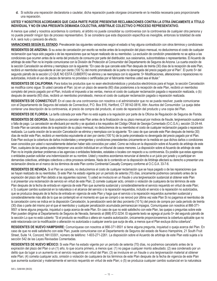**d.** Si solicita una reparación declaratoria o cautelar, dicha reparación puede otorgase únicamente en la medida necesaria para proporcionarle una reparación.

# **USTED Y NOSOTROS ACORDAMOS QUE CADA PARTE PUEDE PRESENTAR RECLAMACIONES CONTRA LA OTRA ÚNICAMENTE A TÍTULO INDIVIDUAL Y NO EN UNA PRESUNTA DEMANDA COLECTIVA, ARBITRAJE COLECTIVO O PROCESO REPRESENTATIVO.**

A menos que usted y nosotros acordemos lo contrario, el árbitro no puede consolidar su controversia con la controversia de cualquier otra persona y no puede presidir ningún tipo de proceso representativo. Si se considera que esta disposición específica es inexigible, entonces la totalidad de este A.A. será nulo y carecerá de efecto.

**VARIACIONES SEGÚN EL ESTADO:** Prevalecerán las siguientes variaciones según el estado si hay alguna contradicción con otros términos y condiciones:

**RESIDENTES DE ARIZONA:** Si su aviso de cancelación por escrito se recibe antes de la expiración del plazo mensual, no deduciremos el costo de cualquier reclamación que haya sido pagada o de las reparaciones que se hayan realizado de su reembolso. La exclusión de condición preexistente no se aplica a las condiciones que ocurren antes de la venta del producto de consumo por parte del distribuidor, sus cesionarios, subcontratistas o representantes. El Acuerdo de arbitraje de este Plan no le impide comunicarse con la División de Protección al Consumidor del Departamento de Seguros de Arizona. La cuarta oración de la sección Cancelación se elimina y reemplaza con la siguiente: "En caso de que cancele este Plan después de treinta (30) días de la recepción de este Plan, recibirá un reembolso equivalente al cien por ciento (100 %) del monto prorrateado de la parte no devengada del precio pagado por el Plan". El punto 5> del segundo párrafo de la sección LO QUE NO ESTÁ CUBIERTO se elimina y se reemplaza con lo siguiente: 5> Modificaciones, alteraciones o reparaciones no autorizadas, incluido el uso de piezas de terceros no provistas o certificadas por el fabricante mientras usted sea el titular."

**RESIDENTES DE CALIFORNIA:** Para todos los productos que no sean electrodomésticos y productos electrónicos para el hogar, la sección Cancelación se modifica como sigue: Si usted cancela el Plan: (a) en un plazo de sesenta (60) días posteriores a la recepción de este Plan, recibirá un reembolso completo del precio pagado por el Plan, incluido el impuesto a las ventas, menos el costo de cualquier reclamación pagada o reparación realizada, o (b) después de sesenta (60) días, recibirá un reembolso prorrateado, menos el costo de cualquier reclamación pagada o reparación realizada.

**RESIDENTES DE CONNECTICUT:** En el caso de una controversia con nosotros o el administrador que no se pueda resolver, puede comunicarse con el Departamento de Seguros del estado de Connecticut, P.O. Box 816, Hartford, CT 06142-0816, Attn: Asuntos del Consumidor. La queja debe contener una descripción de la controversia, el precio de compra del producto, el costo de reparación del producto y una copia del Plan.

**RESIDENTES DE FLORIDA:** La tarifa cobrada por este Plan no está sujeta a la regulación por parte de la Oficina de Regulación de Seguros de Florida.

**RESIDENTES DE GEORGIA.** Solo podremos cancelar este Plan antes de la finalización de su plazo mensual por motivos de fraude, tergiversación sustancial o falta de pago. La cancelación se efectuará por escrito y se ajustará a los requisitos del Código Oficial de Georgia Comentado (O.C.G.A.), sección 33-24-44. Si este Plan se cancela antes de la expiración de su plazo mensual, no deduciremos de su reembolso el costo de cualquier reclamación pagada o reparación realizada. La cuarta oración de la sección Cancelación se elimina y reemplaza con la siguiente: "En caso de que cancele este Plan después de treinta (30) días de recibir este Plan, recibirá un reembolso equivalente al cien por ciento (100 %) de la parte prorrateada no devengada del precio pagado por el Plan. Este Plan excluye la cobertura de daños incidentales y emergentes y condiciones preexistentes únicamente en la medida en que dichos daños o condiciones sean conocidos por usted o razonablemente deberían haber sido conocidos por usted. Como se indica en la disposición sobre el Acuerdo de arbitraje de este Plan, cualquiera de las partes puede interponer una acción individual en un tribunal de casos menores. La disposición sobre el Acuerdo de arbitraje de este Plan no le impide plantear problemas a las agencias o entidades federales, estatales o locales con respecto a su controversia. Es posible que estas agencias o entidades puedan solicitar una indemnización en su nombre. Usted y nosotros acordamos renunciar al derecho a un juicio por jurado y a participar en demandas colectivas, arbitrajes colectivos u otros procesos similares. Nada de lo contenido en la disposición de Arbitraje afectará su derecho a presentar una reclamación directa en el marco de los términos de este Plan contra Continental Casualty Company conforme al O.C.G.A. 33-7-6.

**RESIDENTES DE NEVADA.** Si el Plan se cancela, no deduciremos el costo de cualquier reclamación que se haya pagado o de las reparaciones que se hayan realizado de su reembolso. Si este Plan ha estado vigente por un período de setenta (70) días, únicamente podremos cancelarlo antes de la expiración del plazo del Plan debido a las siguientes razones: 1) usted se involucra en un fraude o una tergiversación sustancial al obtener este Plan o al presentar una reclamación de servicio en virtud de este Plan; 2) comete cualquier acto, omisión o violación de cualquiera de los términos de este Plan después de la fecha de entrada en vigencia de este Plan que aumenta sustancial y considerablemente el servicio requerido en virtud de este Plan; o 3) cualquier cambio sustancial en la naturaleza o el alcance del servicio o la reparación requeridos, incluido el servicio o la reparación no autorizados, que se produzca después de la fecha de entrada en vigencia de este Plan y haga que el servicio o la reparación requeridos aumenten sustancial y considerablemente más allá de lo que se contempló en el momento en que se compró o se renovó por última vez este Plan Si no pagamos el reembolso de la cancelación como se indica en la disposición Cancelación, la penalización será del diez porciento (10 %) del precio de compra por cada período de treinta (30) días o parte del mismo por el que el reembolso y cualquier penalización acumulada permanezcan impagos. Comuníquese con nosotros al 866-371- 9501 si tiene alguna pregunta, inquietud o queja acerca de este Plan. En caso de que no esté satisfecho con este Plan, las quejas o preguntas sobre este Plan pueden dirigirse al Departamento de Seguros de Nevada, llamando al (888) 872-3234. El siguiente texto se agrega al punto 5> del segundo párrafo de la sección Lo que no está cubierto: "Si el producto se modifica o altera sin nuestra autorización, únicamente proporcionaremos la cobertura aplicable que no esté relacionada con la modificación o alteración no autorizada o cualquier avería que surja de ella, a menos que el Plan excluya dicha cobertura".

**RESIDENTES DE NUEVO HAMPSHIRE:** Comuníquese con nosotros al 866-371-9501 si tiene alguna pregunta, inquietud o queja acerca del Plan. En caso de que no esté satisfecho con este Plan, puede comunicarse con el Departamento de Seguros del estado de Nuevo Hampshire, 21 South Fruit Street, Suite 14, Concord, NH 03301, número de teléfono: 1-603-271-2261. La disposición sobre el Acuerdo de arbitraje de este Plan está sujeta a la sección 542 de las Leyes Revisadas Comentadas.

**RESIDENTES DE NUEVO MÉXICO:** Si este Plan ha estado vigente por un período de setenta (70) días, no podremos cancelarlo antes de la expiración del plazo del Plan o un (1) año, lo que ocurra primero, a menos que: (1) no pague cualquier monto adeudado; (2) sea condenado por un delito que da lugar a un aumento en el servicio requerido en virtud del Plan; (3) se involucre en un fraude o una tergiversación material al obtener este Plan; (4) cometa cualquier acto, omisión o violación de cualquiera de los términos de este Plan después de la fecha de vigencia de este Plan que aumenta sustancial y materialmente el servicio requerido en virtud de este Plan; o (5) se produzca cualquier cambio sustancial en la naturaleza